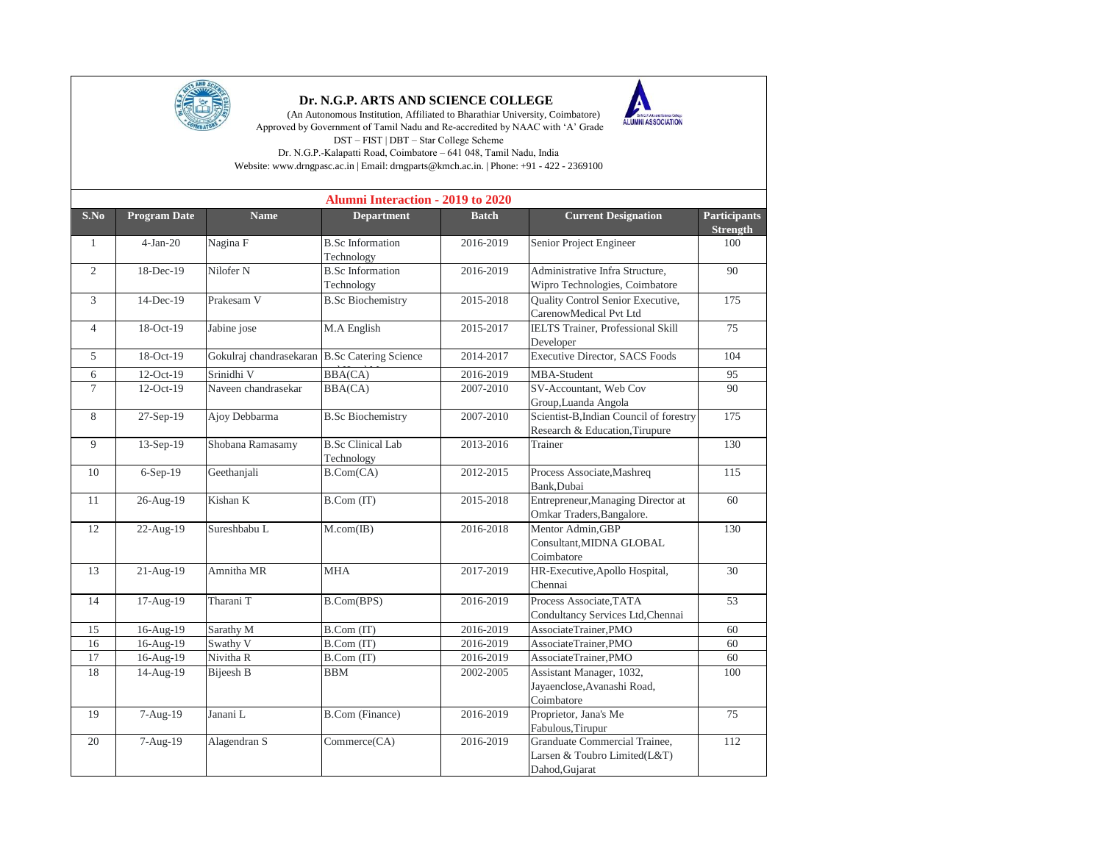

## **Dr. N.G.P. ARTS AND SCIENCE COLLEGE**

 (An Autonomous Institution, Affiliated to Bharathiar University, Coimbatore) Approved by Government of Tamil Nadu and Re-accredited by NAAC with 'A' Grade DST – FIST | DBT – Star College Scheme Dr. N.G.P.-Kalapatti Road, Coimbatore – 641 048, Tamil Nadu, India

ALUMNI ASSOCIATION

Website: www.drngpasc.ac.in | Email: drngparts@kmch.ac.in. | Phone: +91 - 422 - 2369100

|                |                     |                                               | <b>Alumni Interaction - 2019 to 2020</b> |              |                                                                                 |                                        |
|----------------|---------------------|-----------------------------------------------|------------------------------------------|--------------|---------------------------------------------------------------------------------|----------------------------------------|
| S.No           | <b>Program Date</b> | <b>Name</b>                                   | <b>Department</b>                        | <b>Batch</b> | <b>Current Designation</b>                                                      | <b>Participants</b><br><b>Strength</b> |
| -1             | $4-Jan-20$          | Nagina F                                      | <b>B.Sc</b> Information<br>Technology    | 2016-2019    | Senior Project Engineer                                                         | 100                                    |
| $\overline{2}$ | 18-Dec-19           | Nilofer <sub>N</sub>                          | <b>B.Sc</b> Information<br>Technology    | 2016-2019    | Administrative Infra Structure,<br>Wipro Technologies, Coimbatore               | 90                                     |
| 3              | 14-Dec-19           | Prakesam V                                    | <b>B.Sc Biochemistry</b>                 | 2015-2018    | Quality Control Senior Executive,<br>CarenowMedical Pvt Ltd                     | 175                                    |
| $\overline{4}$ | 18-Oct-19           | Jabine jose                                   | M.A English                              | 2015-2017    | IELTS Trainer, Professional Skill<br>Developer                                  | 75                                     |
| 5              | 18-Oct-19           | Gokulraj chandrasekaran B.Sc Catering Science |                                          | 2014-2017    | Executive Director, SACS Foods                                                  | 104                                    |
| 6              | 12-Oct-19           | Srinidhi V                                    | BBA(CA)                                  | 2016-2019    | MBA-Student                                                                     | 95                                     |
| $\tau$         | $12-Oct-19$         | Naveen chandrasekar                           | BBA(CA)                                  | 2007-2010    | SV-Accountant, Web Cov<br>Group, Luanda Angola                                  | 90                                     |
| 8              | 27-Sep-19           | Ajoy Debbarma                                 | <b>B.Sc Biochemistry</b>                 | 2007-2010    | Scientist-B,Indian Council of forestry<br>Research & Education, Tirupure        | 175                                    |
| 9              | 13-Sep-19           | Shobana Ramasamy                              | <b>B.Sc Clinical Lab</b><br>Technology   | 2013-2016    | Trainer                                                                         | 130                                    |
| 10             | $6-Sep-19$          | Geethanjali                                   | $B$ . $Com(CA)$                          | 2012-2015    | Process Associate, Mashreq<br>Bank, Dubai                                       | 115                                    |
| 11             | 26-Aug-19           | Kishan K                                      | B.Com (IT)                               | 2015-2018    | Entrepreneur, Managing Director at<br>Omkar Traders, Bangalore.                 | 60                                     |
| 12             | 22-Aug-19           | Sureshbabu L                                  | M.com(IB)                                | 2016-2018    | Mentor Admin, GBP<br>Consultant, MIDNA GLOBAL<br>Coimbatore                     | 130                                    |
| 13             | 21-Aug-19           | Amnitha MR                                    | <b>MHA</b>                               | 2017-2019    | HR-Executive, Apollo Hospital,<br>Chennai                                       | 30                                     |
| 14             | 17-Aug-19           | Tharani T                                     | B.Com(BPS)                               | 2016-2019    | Process Associate, TATA<br>Condultancy Services Ltd, Chennai                    | 53                                     |
| 15             | 16-Aug-19           | Sarathy M                                     | B.Com (IT)                               | 2016-2019    | AssociateTrainer,PMO                                                            | 60                                     |
| 16             | 16-Aug-19           | Swathy V                                      | B.Com (IT)                               | 2016-2019    | AssociateTrainer,PMO                                                            | 60                                     |
| 17             | 16-Aug-19           | Nivitha R                                     | B.Com (IT)                               | 2016-2019    | AssociateTrainer,PMO                                                            | 60                                     |
| 18             | 14-Aug-19           | Bijeesh B                                     | <b>BBM</b>                               | 2002-2005    | Assistant Manager, 1032,<br>Jayaenclose, Avanashi Road,<br>Coimbatore           | 100                                    |
| 19             | 7-Aug-19            | Janani L                                      | <b>B.Com</b> (Finance)                   | 2016-2019    | Proprietor, Jana's Me<br>Fabulous, Tirupur                                      | 75                                     |
| 20             | 7-Aug-19            | Alagendran S                                  | Commerce(CA)                             | 2016-2019    | Granduate Commercial Trainee,<br>Larsen & Toubro Limited(L&T)<br>Dahod, Gujarat | 112                                    |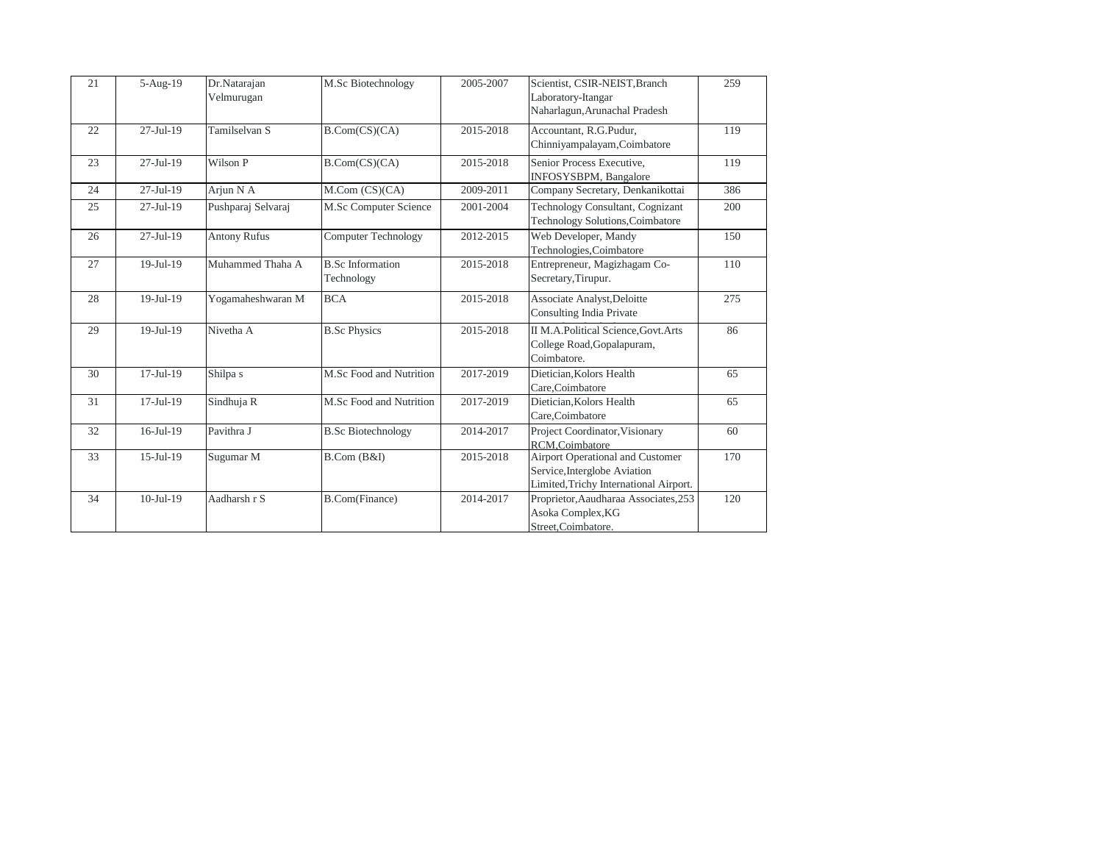| 21 | 5-Aug-19        | Dr.Natarajan<br>Velmurugan | M.Sc Biotechnology                    | 2005-2007 | Scientist, CSIR-NEIST, Branch<br>Laboratory-Itangar<br>Naharlagun, Arunachal Pradesh                       | 259 |
|----|-----------------|----------------------------|---------------------------------------|-----------|------------------------------------------------------------------------------------------------------------|-----|
| 22 | $27-Jul-19$     | Tamilselvan S              | B.Com(CS)(CA)                         | 2015-2018 | Accountant, R.G.Pudur,<br>Chinniyampalayam, Coimbatore                                                     | 119 |
| 23 | $27-Jul-19$     | Wilson P                   | B.Com(CS)(CA)                         | 2015-2018 | Senior Process Executive,<br>INFOSYSBPM, Bangalore                                                         | 119 |
| 24 | $27-Jul-19$     | Arjun N A                  | $M_{\cdot}$ Com $(CS)(CA)$            | 2009-2011 | Company Secretary, Denkanikottai                                                                           | 386 |
| 25 | $27-Jul-19$     | Pushparaj Selvaraj         | M.Sc Computer Science                 | 2001-2004 | Technology Consultant, Cognizant<br>Technology Solutions, Coimbatore                                       | 200 |
| 26 | $27$ -Jul-19    | <b>Antony Rufus</b>        | <b>Computer Technology</b>            | 2012-2015 | Web Developer, Mandy<br>Technologies, Coimbatore                                                           | 150 |
| 27 | $19-Jul-19$     | Muhammed Thaha A           | <b>B.Sc Information</b><br>Technology | 2015-2018 | Entrepreneur, Magizhagam Co-<br>Secretary, Tirupur.                                                        | 110 |
| 28 | $19-Jul-19$     | Yogamaheshwaran M          | <b>BCA</b>                            | 2015-2018 | Associate Analyst, Deloitte<br>Consulting India Private                                                    | 275 |
| 29 | $19-Jul-19$     | Nivetha A                  | <b>B.Sc Physics</b>                   | 2015-2018 | II M.A.Political Science, Govt. Arts<br>College Road, Gopalapuram,<br>Coimbatore.                          | 86  |
| 30 | $17-Jul-19$     | Shilpa s                   | M.Sc Food and Nutrition               | 2017-2019 | Dietician, Kolors Health<br>Care, Coimbatore                                                               | 65  |
| 31 | $17-Jul-19$     | Sindhuja R                 | M.Sc Food and Nutrition               | 2017-2019 | Dietician, Kolors Health<br>Care, Coimbatore                                                               | 65  |
| 32 | $16$ -Jul- $19$ | Pavithra J                 | <b>B.Sc Biotechnology</b>             | 2014-2017 | Project Coordinator, Visionary<br>RCM.Coimbatore                                                           | 60  |
| 33 | $15$ -Jul-19    | Sugumar M                  | B. Com (B&I)                          | 2015-2018 | Airport Operational and Customer<br>Service, Interglobe Aviation<br>Limited, Trichy International Airport. | 170 |
| 34 | $10-Jul-19$     | Aadharsh r S               | <b>B.Com(Finance)</b>                 | 2014-2017 | Proprietor, Aaudharaa Associates, 253<br>Asoka Complex, KG<br>Street,Coimbatore.                           | 120 |